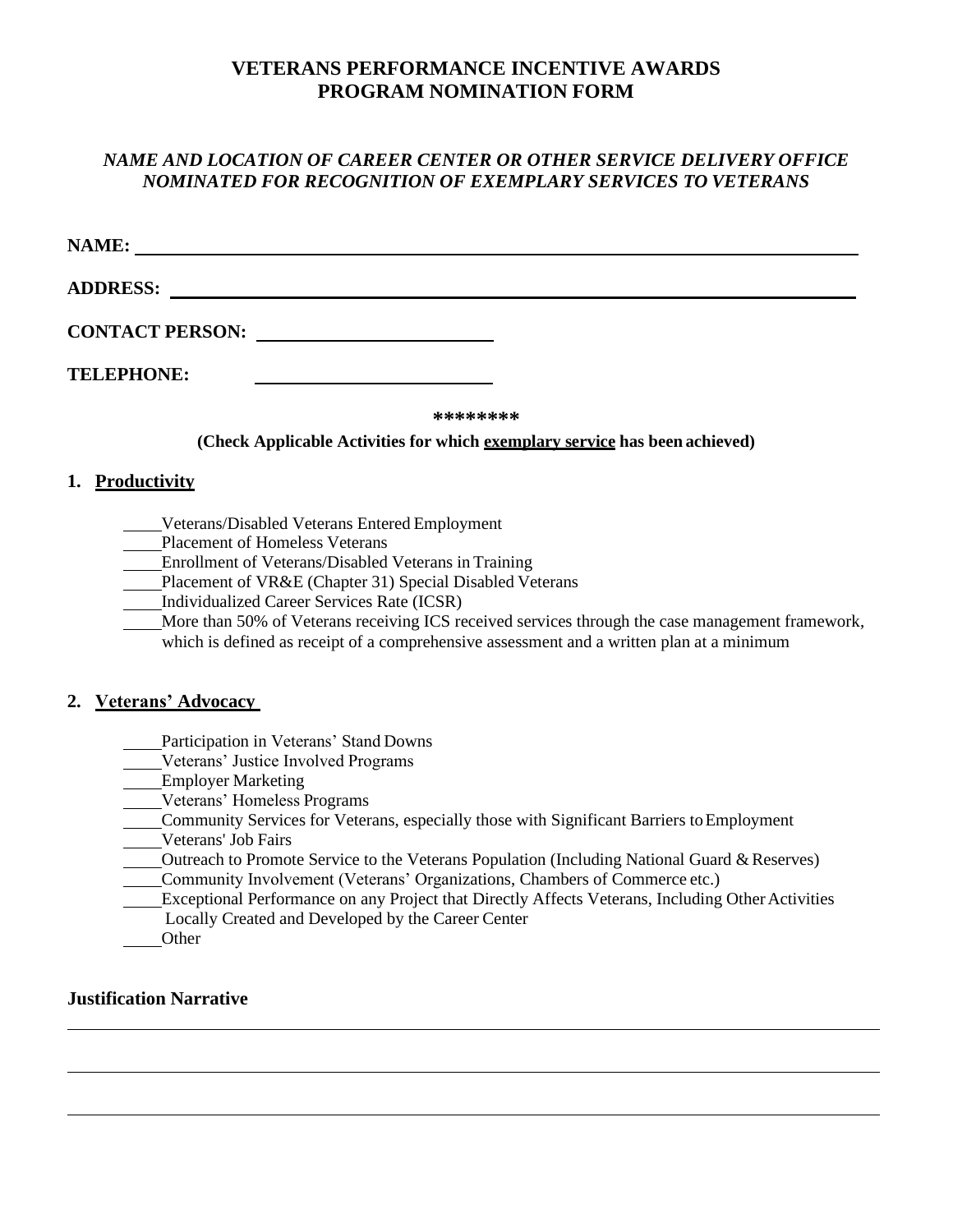# **VETERANS PERFORMANCE INCENTIVE AWARDS PROGRAM NOMINATION FORM**

# *NAME AND LOCATION OF CAREER CENTER OR OTHER SERVICE DELIVERY OFFICE NOMINATED FOR RECOGNITION OF EXEMPLARY SERVICES TO VETERANS*

| NAME:                                                                       |  |
|-----------------------------------------------------------------------------|--|
| <b>ADDRESS:</b>                                                             |  |
| <b>CONTACT PERSON:</b>                                                      |  |
| <b>TELEPHONE:</b>                                                           |  |
| ********                                                                    |  |
| (Check Applicable Activities for which exemplary service has been achieved) |  |
| 1.<br><b>Productivity</b>                                                   |  |

Veterans/Disabled Veterans Entered Employment

Placement of Homeless Veterans

Enrollment of Veterans/Disabled Veterans in Training

Placement of VR&E (Chapter 31) Special Disabled Veterans

Individualized Career Services Rate (ICSR)

More than 50% of Veterans receiving ICS received services through the case management framework,

which is defined as receipt of a comprehensive assessment and a written plan at a minimum

### **2. Veterans' Advocacy**

Participation in Veterans' Stand Downs

Veterans' Justice Involved Programs

Employer Marketing

Veterans' Homeless Programs

Community Services for Veterans, especially those with Significant Barriers toEmployment

Veterans' Job Fairs

Outreach to Promote Service to the Veterans Population (Including National Guard & Reserves) Community Involvement (Veterans' Organizations, Chambers of Commerce etc.)

**Exceptional Performance on any Project that Directly Affects Veterans, Including Other Activities** Locally Created and Developed by the Career Center

**Other** 

## **Justification Narrative**